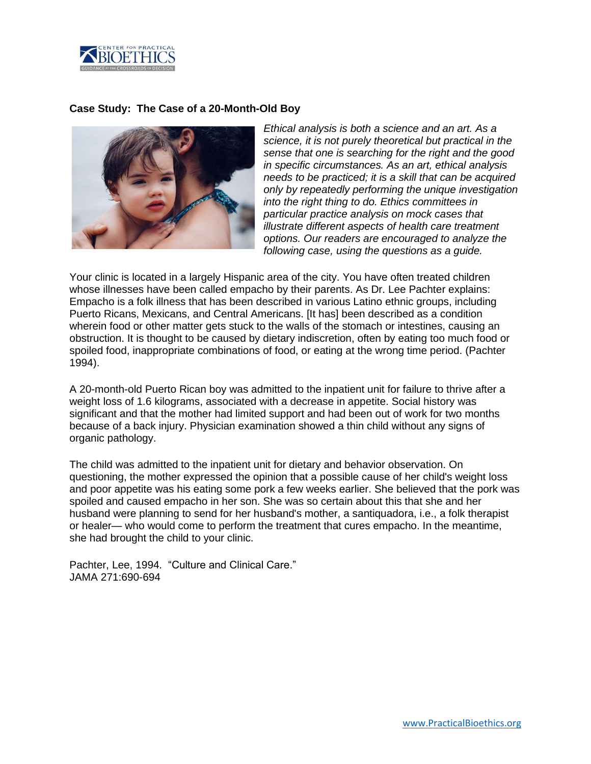

## **Case Study: The Case of a 20-Month-Old Boy**



*Ethical analysis is both a science and an art. As a science, it is not purely theoretical but practical in the sense that one is searching for the right and the good in specific circumstances. As an art, ethical analysis needs to be practiced; it is a skill that can be acquired only by repeatedly performing the unique investigation into the right thing to do. Ethics committees in particular practice analysis on mock cases that illustrate different aspects of health care treatment options. Our readers are encouraged to analyze the following case, using the questions as a guide.*

Your clinic is located in a largely Hispanic area of the city. You have often treated children whose illnesses have been called empacho by their parents. As Dr. Lee Pachter explains: Empacho is a folk illness that has been described in various Latino ethnic groups, including Puerto Ricans, Mexicans, and Central Americans. [It has] been described as a condition wherein food or other matter gets stuck to the walls of the stomach or intestines, causing an obstruction. It is thought to be caused by dietary indiscretion, often by eating too much food or spoiled food, inappropriate combinations of food, or eating at the wrong time period. (Pachter 1994).

A 20-month-old Puerto Rican boy was admitted to the inpatient unit for failure to thrive after a weight loss of 1.6 kilograms, associated with a decrease in appetite. Social history was significant and that the mother had limited support and had been out of work for two months because of a back injury. Physician examination showed a thin child without any signs of organic pathology.

The child was admitted to the inpatient unit for dietary and behavior observation. On questioning, the mother expressed the opinion that a possible cause of her child's weight loss and poor appetite was his eating some pork a few weeks earlier. She believed that the pork was spoiled and caused empacho in her son. She was so certain about this that she and her husband were planning to send for her husband's mother, a santiquadora, i.e., a folk therapist or healer— who would come to perform the treatment that cures empacho. In the meantime, she had brought the child to your clinic.

Pachter, Lee, 1994. "Culture and Clinical Care." JAMA 271:690-694